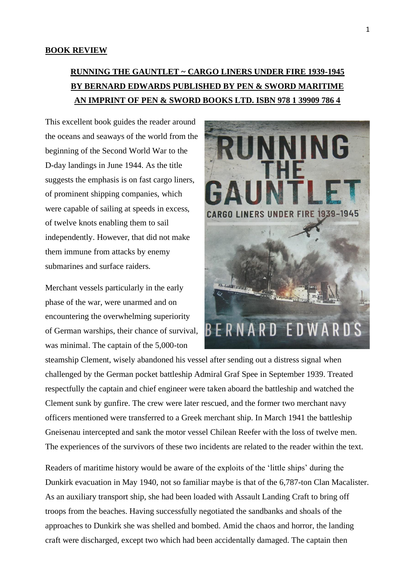## **BOOK REVIEW**

## **RUNNING THE GAUNTLET ~ CARGO LINERS UNDER FIRE 1939-1945 BY BERNARD EDWARDS PUBLISHED BY PEN & SWORD MARITIME AN IMPRINT OF PEN & SWORD BOOKS LTD. ISBN 978 1 39909 786 4**

This excellent book guides the reader around the oceans and seaways of the world from the beginning of the Second World War to the D-day landings in June 1944. As the title suggests the emphasis is on fast cargo liners, of prominent shipping companies, which were capable of sailing at speeds in excess, of twelve knots enabling them to sail independently. However, that did not make them immune from attacks by enemy submarines and surface raiders.

Merchant vessels particularly in the early phase of the war, were unarmed and on encountering the overwhelming superiority of German warships, their chance of survival, was minimal. The captain of the 5,000-ton



steamship Clement, wisely abandoned his vessel after sending out a distress signal when challenged by the German pocket battleship Admiral Graf Spee in September 1939. Treated respectfully the captain and chief engineer were taken aboard the battleship and watched the Clement sunk by gunfire. The crew were later rescued, and the former two merchant navy officers mentioned were transferred to a Greek merchant ship. In March 1941 the battleship Gneisenau intercepted and sank the motor vessel Chilean Reefer with the loss of twelve men. The experiences of the survivors of these two incidents are related to the reader within the text.

Readers of maritime history would be aware of the exploits of the 'little ships' during the Dunkirk evacuation in May 1940, not so familiar maybe is that of the 6,787-ton Clan Macalister. As an auxiliary transport ship, she had been loaded with Assault Landing Craft to bring off troops from the beaches. Having successfully negotiated the sandbanks and shoals of the approaches to Dunkirk she was shelled and bombed. Amid the chaos and horror, the landing craft were discharged, except two which had been accidentally damaged. The captain then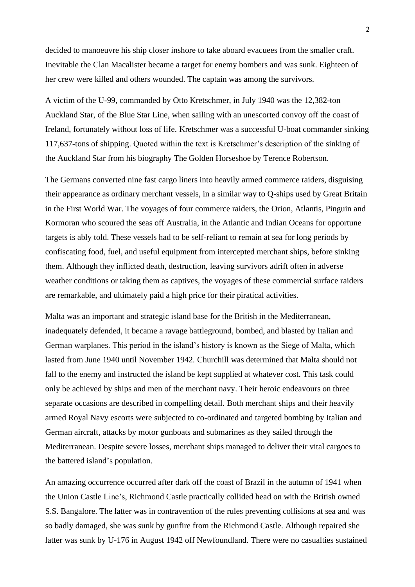decided to manoeuvre his ship closer inshore to take aboard evacuees from the smaller craft. Inevitable the Clan Macalister became a target for enemy bombers and was sunk. Eighteen of her crew were killed and others wounded. The captain was among the survivors.

A victim of the U-99, commanded by Otto Kretschmer, in July 1940 was the 12,382-ton Auckland Star, of the Blue Star Line, when sailing with an unescorted convoy off the coast of Ireland, fortunately without loss of life. Kretschmer was a successful U-boat commander sinking 117,637-tons of shipping. Quoted within the text is Kretschmer's description of the sinking of the Auckland Star from his biography The Golden Horseshoe by Terence Robertson.

The Germans converted nine fast cargo liners into heavily armed commerce raiders, disguising their appearance as ordinary merchant vessels, in a similar way to Q-ships used by Great Britain in the First World War. The voyages of four commerce raiders, the Orion, Atlantis, Pinguin and Kormoran who scoured the seas off Australia, in the Atlantic and Indian Oceans for opportune targets is ably told. These vessels had to be self-reliant to remain at sea for long periods by confiscating food, fuel, and useful equipment from intercepted merchant ships, before sinking them. Although they inflicted death, destruction, leaving survivors adrift often in adverse weather conditions or taking them as captives, the voyages of these commercial surface raiders are remarkable, and ultimately paid a high price for their piratical activities.

Malta was an important and strategic island base for the British in the Mediterranean, inadequately defended, it became a ravage battleground, bombed, and blasted by Italian and German warplanes. This period in the island's history is known as the Siege of Malta, which lasted from June 1940 until November 1942. Churchill was determined that Malta should not fall to the enemy and instructed the island be kept supplied at whatever cost. This task could only be achieved by ships and men of the merchant navy. Their heroic endeavours on three separate occasions are described in compelling detail. Both merchant ships and their heavily armed Royal Navy escorts were subjected to co-ordinated and targeted bombing by Italian and German aircraft, attacks by motor gunboats and submarines as they sailed through the Mediterranean. Despite severe losses, merchant ships managed to deliver their vital cargoes to the battered island's population.

An amazing occurrence occurred after dark off the coast of Brazil in the autumn of 1941 when the Union Castle Line's, Richmond Castle practically collided head on with the British owned S.S. Bangalore. The latter was in contravention of the rules preventing collisions at sea and was so badly damaged, she was sunk by gunfire from the Richmond Castle. Although repaired she latter was sunk by U-176 in August 1942 off Newfoundland. There were no casualties sustained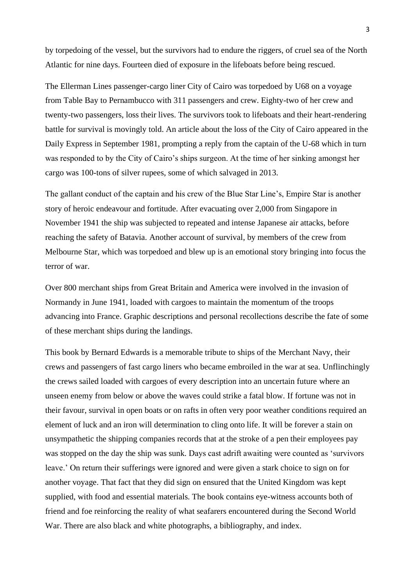by torpedoing of the vessel, but the survivors had to endure the riggers, of cruel sea of the North Atlantic for nine days. Fourteen died of exposure in the lifeboats before being rescued.

The Ellerman Lines passenger-cargo liner City of Cairo was torpedoed by U68 on a voyage from Table Bay to Pernambucco with 311 passengers and crew. Eighty-two of her crew and twenty-two passengers, loss their lives. The survivors took to lifeboats and their heart-rendering battle for survival is movingly told. An article about the loss of the City of Cairo appeared in the Daily Express in September 1981, prompting a reply from the captain of the U-68 which in turn was responded to by the City of Cairo's ships surgeon. At the time of her sinking amongst her cargo was 100-tons of silver rupees, some of which salvaged in 2013.

The gallant conduct of the captain and his crew of the Blue Star Line's, Empire Star is another story of heroic endeavour and fortitude. After evacuating over 2,000 from Singapore in November 1941 the ship was subjected to repeated and intense Japanese air attacks, before reaching the safety of Batavia. Another account of survival, by members of the crew from Melbourne Star, which was torpedoed and blew up is an emotional story bringing into focus the terror of war.

Over 800 merchant ships from Great Britain and America were involved in the invasion of Normandy in June 1941, loaded with cargoes to maintain the momentum of the troops advancing into France. Graphic descriptions and personal recollections describe the fate of some of these merchant ships during the landings.

This book by Bernard Edwards is a memorable tribute to ships of the Merchant Navy, their crews and passengers of fast cargo liners who became embroiled in the war at sea. Unflinchingly the crews sailed loaded with cargoes of every description into an uncertain future where an unseen enemy from below or above the waves could strike a fatal blow. If fortune was not in their favour, survival in open boats or on rafts in often very poor weather conditions required an element of luck and an iron will determination to cling onto life. It will be forever a stain on unsympathetic the shipping companies records that at the stroke of a pen their employees pay was stopped on the day the ship was sunk. Days cast adrift awaiting were counted as 'survivors leave.' On return their sufferings were ignored and were given a stark choice to sign on for another voyage. That fact that they did sign on ensured that the United Kingdom was kept supplied, with food and essential materials. The book contains eye-witness accounts both of friend and foe reinforcing the reality of what seafarers encountered during the Second World War. There are also black and white photographs, a bibliography, and index.